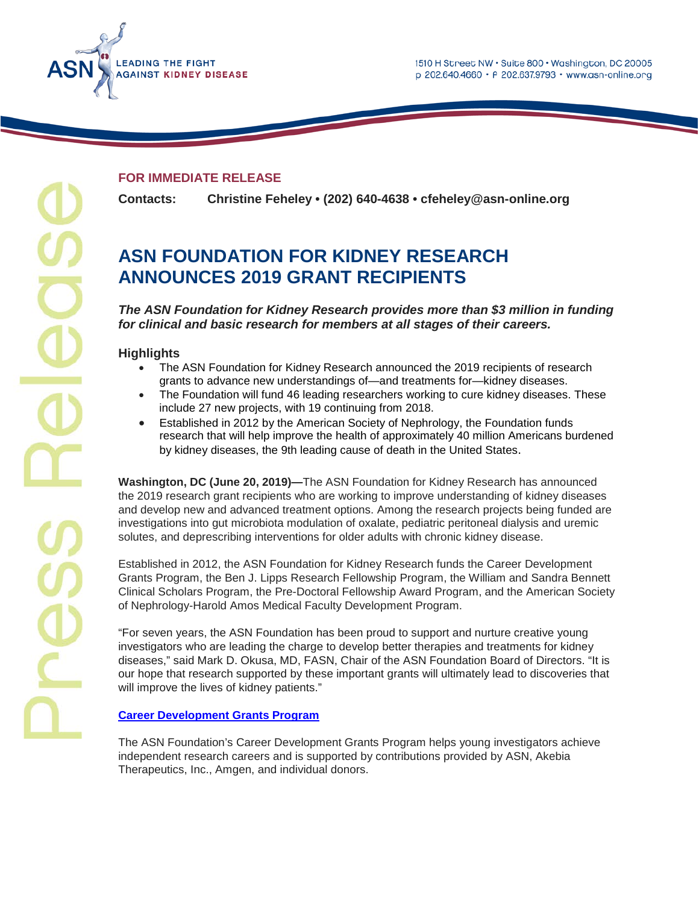1510 H Street NW · Suite 800 · Washington, DC 20005 p 202.640.4660 · F 202.637.9793 · www.asn-online.org



# **FOR IMMEDIATE RELEASE**

**Contacts: Christine Feheley • (202) 640-4638 • cfeheley@asn-online.org**

# **ASN FOUNDATION FOR KIDNEY RESEARCH ANNOUNCES 2019 GRANT RECIPIENTS**

*The ASN Foundation for Kidney Research provides more than \$3 million in funding for clinical and basic research for members at all stages of their careers.*

# **Highlights**

- The ASN Foundation for Kidney Research announced the 2019 recipients of research grants to advance new understandings of—and treatments for—kidney diseases.
- The Foundation will fund 46 leading researchers working to cure kidney diseases. These include 27 new projects, with 19 continuing from 2018.
- Established in 2012 by the American Society of Nephrology, the Foundation funds research that will help improve the health of approximately 40 million Americans burdened by kidney diseases, the 9th leading cause of death in the United States.

**Washington, DC (June 20, 2019)—**The ASN Foundation for Kidney Research has announced the 2019 research grant recipients who are working to improve understanding of kidney diseases and develop new and advanced treatment options. Among the research projects being funded are investigations into gut microbiota modulation of oxalate, pediatric peritoneal dialysis and uremic solutes, and deprescribing interventions for older adults with chronic kidney disease.

Established in 2012, the ASN Foundation for Kidney Research funds the Career Development Grants Program, the Ben J. Lipps Research Fellowship Program, the William and Sandra Bennett Clinical Scholars Program, the Pre-Doctoral Fellowship Award Program, and the American Society of Nephrology-Harold Amos Medical Faculty Development Program.

"For seven years, the ASN Foundation has been proud to support and nurture creative young investigators who are leading the charge to develop better therapies and treatments for kidney diseases," said Mark D. Okusa, MD, FASN, Chair of the ASN Foundation Board of Directors. "It is our hope that research supported by these important grants will ultimately lead to discoveries that will improve the lives of kidney patients."

# **[Career Development Grants Program](https://www.asn-online.org/grants/career/)**

The ASN Foundation's Career Development Grants Program helps young investigators achieve independent research careers and is supported by contributions provided by ASN, Akebia Therapeutics, Inc., Amgen, and individual donors.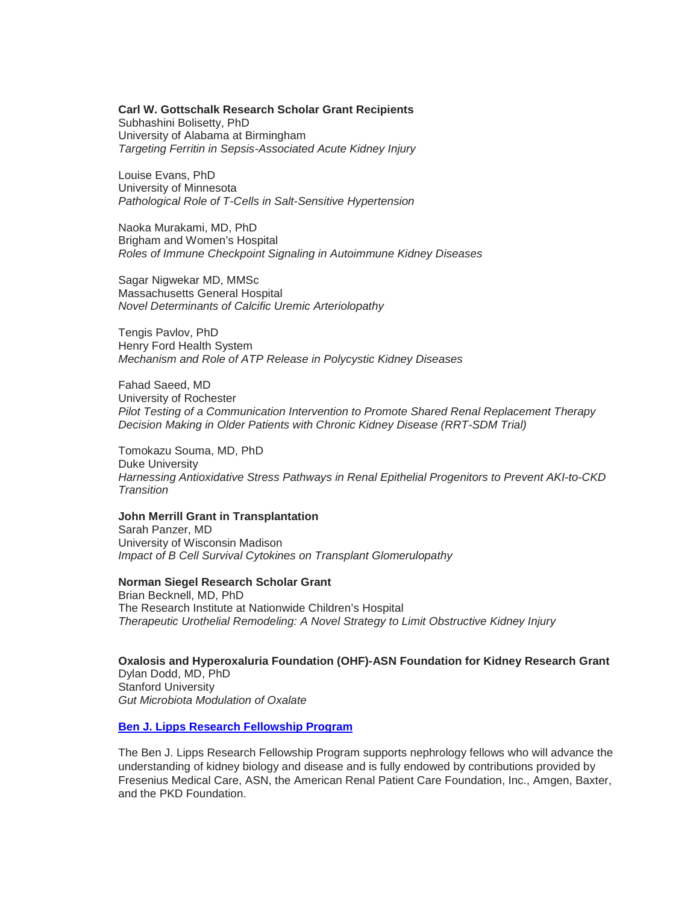# **Carl W. Gottschalk Research Scholar Grant Recipients**

Subhashini Bolisetty, PhD University of Alabama at Birmingham *Targeting Ferritin in Sepsis-Associated Acute Kidney Injury*

Louise Evans, PhD University of Minnesota *Pathological Role of T-Cells in Salt-Sensitive Hypertension*

Naoka Murakami, MD, PhD Brigham and Women's Hospital *Roles of Immune Checkpoint Signaling in Autoimmune Kidney Diseases*

Sagar Nigwekar MD, MMSc Massachusetts General Hospital *Novel Determinants of Calcific Uremic Arteriolopathy*

Tengis Pavlov, PhD Henry Ford Health System *Mechanism and Role of ATP Release in Polycystic Kidney Diseases*

Fahad Saeed, MD University of Rochester *Pilot Testing of a Communication Intervention to Promote Shared Renal Replacement Therapy Decision Making in Older Patients with Chronic Kidney Disease (RRT-SDM Trial)*

Tomokazu Souma, MD, PhD Duke University *Harnessing Antioxidative Stress Pathways in Renal Epithelial Progenitors to Prevent AKI-to-CKD Transition*

# **John Merrill Grant in Transplantation**

Sarah Panzer, MD University of Wisconsin Madison *Impact of B Cell Survival Cytokines on Transplant Glomerulopathy*

#### **Norman Siegel Research Scholar Grant**

Brian Becknell, MD, PhD The Research Institute at Nationwide Children's Hospital *Therapeutic Urothelial Remodeling: A Novel Strategy to Limit Obstructive Kidney Injury*

**Oxalosis and Hyperoxaluria Foundation (OHF)-ASN Foundation for Kidney Research Grant** Dylan Dodd, MD, PhD Stanford University *Gut Microbiota Modulation of Oxalate*

#### **[Ben J. Lipps Research Fellowship Program](https://www.asn-online.org/grants/fellowships/)**

The Ben J. Lipps Research Fellowship Program supports nephrology fellows who will advance the understanding of kidney biology and disease and is fully endowed by contributions provided by Fresenius Medical Care, ASN, the American Renal Patient Care Foundation, Inc., Amgen, Baxter, and the PKD Foundation.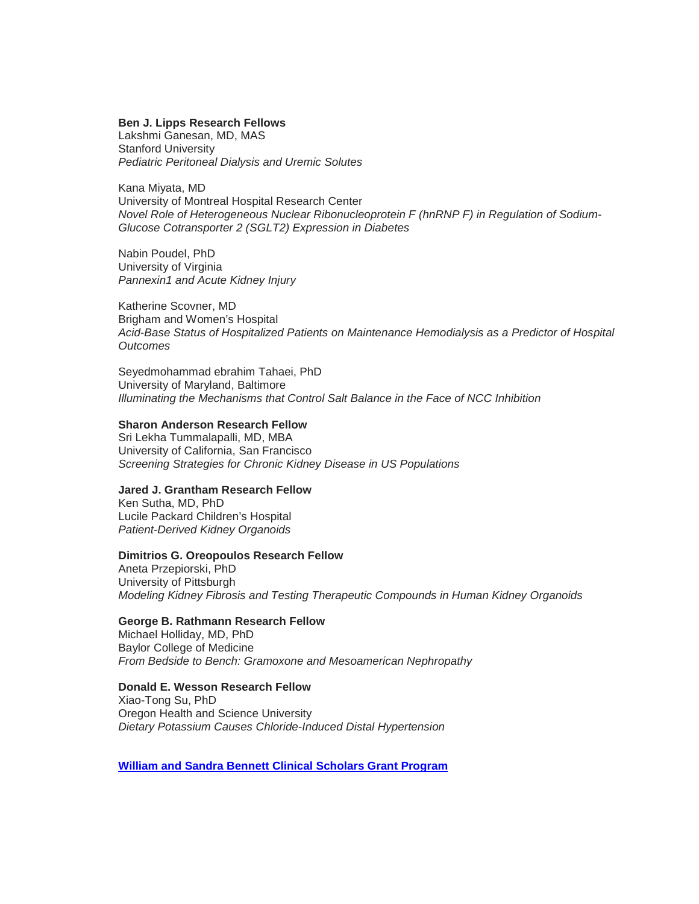#### **Ben J. Lipps Research Fellows**

Lakshmi Ganesan, MD, MAS Stanford University *Pediatric Peritoneal Dialysis and Uremic Solutes*

Kana Miyata, MD University of Montreal Hospital Research Center *Novel Role of Heterogeneous Nuclear Ribonucleoprotein F (hnRNP F) in Regulation of Sodium-Glucose Cotransporter 2 (SGLT2) Expression in Diabetes*

Nabin Poudel, PhD University of Virginia *Pannexin1 and Acute Kidney Injury*

Katherine Scovner, MD Brigham and Women's Hospital *Acid-Base Status of Hospitalized Patients on Maintenance Hemodialysis as a Predictor of Hospital Outcomes*

Seyedmohammad ebrahim Tahaei, PhD University of Maryland, Baltimore *Illuminating the Mechanisms that Control Salt Balance in the Face of NCC Inhibition*

#### **Sharon Anderson Research Fellow**

Sri Lekha Tummalapalli, MD, MBA University of California, San Francisco *Screening Strategies for Chronic Kidney Disease in US Populations*

# **Jared J. Grantham Research Fellow**

Ken Sutha, MD, PhD Lucile Packard Children's Hospital *Patient-Derived Kidney Organoids*

#### **Dimitrios G. Oreopoulos Research Fellow**

Aneta Przepiorski, PhD University of Pittsburgh *Modeling Kidney Fibrosis and Testing Therapeutic Compounds in Human Kidney Organoids*

# **George B. Rathmann Research Fellow**

Michael Holliday, MD, PhD Baylor College of Medicine *From Bedside to Bench: Gramoxone and Mesoamerican Nephropathy* 

# **Donald E. Wesson Research Fellow**

Xiao-Tong Su, PhD Oregon Health and Science University *Dietary Potassium Causes Chloride-Induced Distal Hypertension*

**[William and Sandra Bennett Clinical Scholars Grant Program](https://www.asn-online.org/grants/career/ceg.aspx)**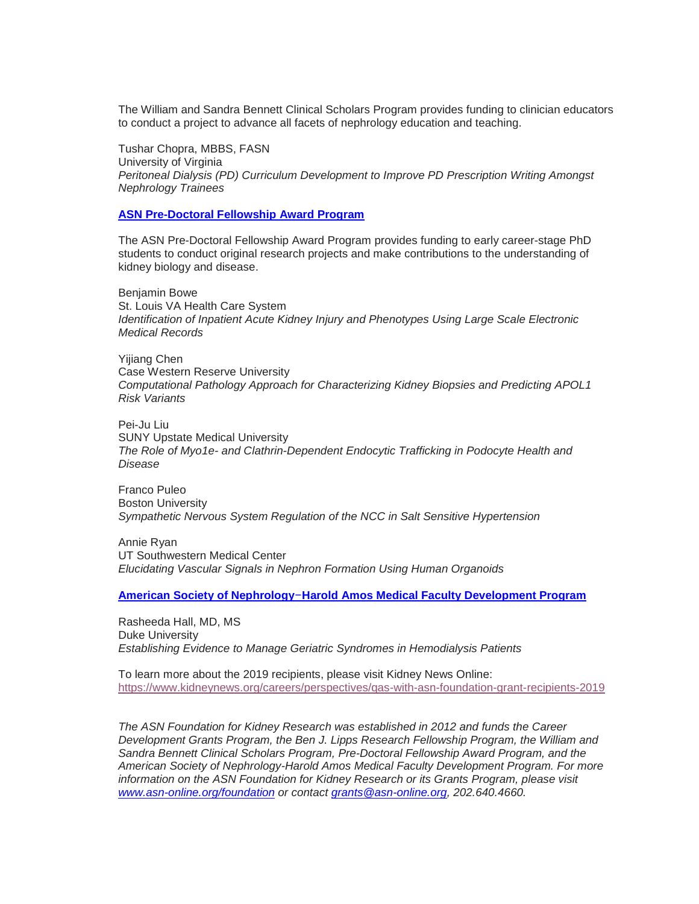The William and Sandra Bennett Clinical Scholars Program provides funding to clinician educators to conduct a project to advance all facets of nephrology education and teaching.

Tushar Chopra, MBBS, FASN University of Virginia *Peritoneal Dialysis (PD) Curriculum Development to Improve PD Prescription Writing Amongst Nephrology Trainees*

### **[ASN Pre-Doctoral Fellowship Award Program](https://www.asn-online.org/grants/fellowships/)**

The ASN Pre-Doctoral Fellowship Award Program provides funding to early career-stage PhD students to conduct original research projects and make contributions to the understanding of kidney biology and disease.

Benjamin Bowe St. Louis VA Health Care System *Identification of Inpatient Acute Kidney Injury and Phenotypes Using Large Scale Electronic Medical Records*

Yijiang Chen Case Western Reserve University *Computational Pathology Approach for Characterizing Kidney Biopsies and Predicting APOL1 Risk Variants*

Pei-Ju Liu SUNY Upstate Medical University *The Role of Myo1e- and Clathrin-Dependent Endocytic Trafficking in Podocyte Health and Disease*

Franco Puleo Boston University *Sympathetic Nervous System Regulation of the NCC in Salt Sensitive Hypertension*

Annie Ryan UT Southwestern Medical Center *[Elucidating Vascular Signals in Nephron Formation Using Human Organoids](https://www.asn-online.org/grants/faculty-development.aspx)*

**[American Society of Nephrology](https://www.asn-online.org/grants/faculty-development.aspx)**–**Harold Amos Medical Faculty Development Program**

Rasheeda Hall, MD, MS Duke University *Establishing Evidence to Manage Geriatric Syndromes in Hemodialysis Patients*

To learn more about the 2019 recipients, please visit Kidney News Online: <https://www.kidneynews.org/careers/perspectives/qas-with-asn-foundation-grant-recipients-2019>

*The ASN Foundation for Kidney Research was established in 2012 and funds the Career Development Grants Program, the Ben J. Lipps Research Fellowship Program, the William and Sandra Bennett Clinical Scholars Program, Pre-Doctoral Fellowship Award Program, and the American Society of Nephrology-Harold Amos Medical Faculty Development Program. For more information on the ASN Foundation for Kidney Research or its Grants Program, please visit [www.asn-online.org/foundation](http://www.asn-online.org/foundation) or contact [grants@asn-online.org,](mailto:grants@asn-online.org) 202.640.4660.*